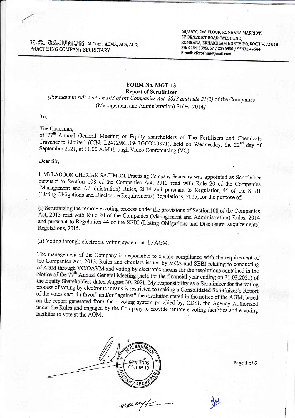$M.C.$  SAJUMON M.Com., ACMA, ACS, ACIS PRACTISING COMPANY SECRETARY

68/567C, 2nd FLOOR, KOMBARA MARRIOTT<br>ST. BENEDICT ROAD (WEST END) KOMBARA, ERNAKULAM NORTH P.O. KOCHI-682 018 PH: 0484-2395867 / 2396930 / 95671 44644 E-mail: cfccochin@gmail.com

### FORM No. MGT-13 Report of Scrutinizer

[Pursuant to rule section 108 of the Companies Act, 2013 and rule 21(2) of the Companies (Management and Administration) Rules, 20147

To,

The Chairman.

of 77<sup>th</sup> Annual General Meeting of Equity shareholders of The Fertilisers and Chemicals<br>Travancore Limited (CIN: L24129KL1943GOI000371), held on Wednesday, the 22<sup>nd</sup> day of September 2021, at 11.00 A.M through Video Conferencing (VC) of 77<sup>th</sup> Annual General Meeting of Equity shareholders of The Fertilisers and Chemicals

Dear Sir,

I, MYLADOOR CHERIAN SAJUMON, Practising Company Secretary was appointed as Scrutinizer pursuant to Section 108 of the Companies Act, 2013 read with Rule 20 of the Companies (Management and Administration) Rules, 2014 and p

(i) Scrutinizing the remote e-voting process under the provisions of Section 108 of the Companies Act, 2013 read with Rule 20 of the Companies (Management and Administration) Rules, 2014 and pursuant to Regulation 44 of the SEBI (Listing Obligations and Disclosure Requirements) Regulations, 2015.

(ii) Voting through elecrronic voting system at the AGM.

The management of the Company is responsible to ensure compliance with the requirement of the Companies Act, 2013, Rules and circulars issued by MCA and SEBI relating to conducting of AGM through VC/OAVM and voting by ele the Equity Shareholders dated August 30, 2021. My responsibility as a Scrutinizer for the voting process of voting by electronic means is restricted to making a Consolidated Scrutinizer's Report of the votes cast "in favor" and/or "against" the resolution stated in the notice of the AGM, based on the report generated from the e-voting system provided by, CDSL the Agency Authorized under the Rules and engaged by the Company to provide remote e-voting facilities and e-voting facilities to vote at the AGM.

SAJUN GPN-2385 c0cHIN-18

 $ewv\not\vdash$ 

Page 1 of 5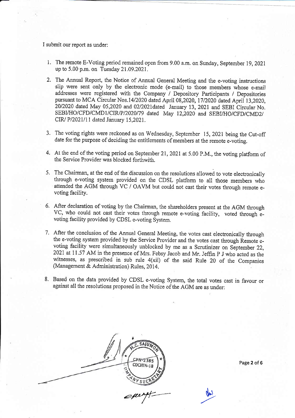I submit our report as under:

- 1. The remote E-Voting period remained open from 9.00 a.m. on Sunday, September 19,202t up to 5,00 p.m. on Tuesday 21.09.2021.
- 2. The Annual Report, the Notice of Annual General Meeting and the e-voting instructions siip were sent only by the electronic mode (e-mail) to those members whose e-maiJ addresses were registered with the Company / Depository Participants / Depositories pursuant to MCA Circular Nos.14/2020 dated April 08,2020, 17/2020 dated April 13,2020, 20/2020 dated May 05,2020 and 02/2021dated January 13, 2021 and SEBI Circular No. SEBI/HO/CFD/CMD1/CIR/P/2020/79 dated May 12,2020 and SEBI/HO/CFD/CMD2/ CIW P12021/11 dated January 15,2021.
- 3. The voting rights were reckoned as on Wednesday, September 15, 2021 being the Cut-off date for the purpose of deciding the entitlements of members at the remote e-voting.
- 4. At the end of the voting period on September 21,202I at 5,00 P.M., the voting platform of the Service Provider was blocked forthwith,
- 5. The Chairman, at the end of the discussion on the resolutions allowed to vote electronically through e-voting system provided on the CDSL platform to all those members who attended the AGM through VC / OAVM but could not cast their votes through remote evoting facility.
- 6. After deciaration of voting by the Chairman, the shareholders present at the AGM through VC, who could not cast their votes through remote e-voting facility, voted through evoting facility provided by CDSL e-voting System.
- 7. After the conclusion of the Annual General Meeting, the votes cast electronically through the e-voting system provided by the Service Provider and the votes cast through Remote-evoting facility were simultaneously unblocked by me as a Scrutinizer on September 22, 2021 at 11.57 AM in the presence of Mrs. Febsy Jacob and Mr. Jeffin P J who acted as the witnesses, as prescribed in sub rule 4(xii) of the said Rule 20 of the Companies (Management & Administration) Rules, 2014.
- 8. Based on the data provided by CDSL e-voting System, the total votes cast in favour or against all the resolutions proposed in the Notice of the AGM are as under:

**SAIT** CPN-2385 COCHIN-18  $e^{\mu\nu}$ 

Page 2 of 6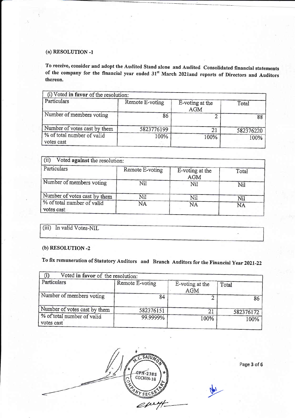#### (a) RESOLUTION -1

To receive, consider and adopt the Audited Stand alone and Audited Consolidated financial statements of the company for the financial year ended 31<sup>st</sup> March 2021and reports of Directors and Auditors thereon.

| (i) Voted in favor of the resolution:    |                 |                               |           |
|------------------------------------------|-----------------|-------------------------------|-----------|
| Particulars                              | Remote E-voting | E-voting at the<br><b>AGM</b> | Total     |
| Number of members voting                 | 86              |                               | 88        |
| Number of votes cast by them             | 5823776199      | 21                            | 582376220 |
| % of total number of valid<br>votes cast | 100%            | 100%                          | 100%      |

| (ii)<br>Voted against the resolution:    |                 |                               |           |
|------------------------------------------|-----------------|-------------------------------|-----------|
| Particulars                              | Remote E-voting | E-voting at the<br><b>AGM</b> | Total     |
| Number of members voting                 | Nil             | Nil                           | Nil       |
| Number of votes cast by them             | Nil             | Nil                           | Nil       |
| % of total number of valid<br>votes cast | NA              | NA                            | <b>NA</b> |

|  | (iii) In valid Votes-NIL |
|--|--------------------------|

## (b) RESOLUTION -2

To fix remuneration of Statutory Auditors and Branch Auditors for the Financial year 2021-22

| Voted in favor of the resolution:        |                 |                        |           |
|------------------------------------------|-----------------|------------------------|-----------|
| Particulars                              | Remote E-voting | E-voting at the<br>AGM | Total     |
| Number of members voting                 | 84              |                        | 86        |
| Number of votes cast by them             | 582376151       | 21                     | 582376172 |
| % of total number of valid<br>votes cast | 99.9999%        | 100%                   | 100%      |



Page 3 of 6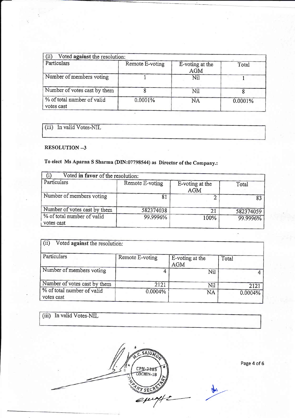| (ii)<br>Voted against the resolution:    |                 |                        |         |
|------------------------------------------|-----------------|------------------------|---------|
| Particulars                              | Remote E-voting | E-voting at the<br>AGM | Total   |
| Number of members voting                 |                 | Nil                    |         |
| Number of votes cast by them             |                 | Nil                    |         |
| % of total number of valid<br>votes cast | 0.0001%         | <b>NA</b>              | 0.0001% |

(iii) In valid Votes-NIL

#### RESOLUTION --3

# To elect Ms Aparna S Sharma (DIN:07798544) as Director of the Company.:

| Voted in favor of the resolution:        |                 |                        |           |
|------------------------------------------|-----------------|------------------------|-----------|
| Particulars                              | Remote E-voting | E-voting at the<br>AGM | Total     |
| Number of members voting                 |                 |                        | 83        |
| Number of votes cast by them             | 582374038       | 21                     | 582374059 |
| % of total number of valid<br>votes cast | 99.9996%        | 100%                   | 99.9996%  |

| $\rm (ii)$<br>Voted against the resolution: |                 |                               |         |
|---------------------------------------------|-----------------|-------------------------------|---------|
| Particulars                                 | Remote E-voting | E-voting at the<br><b>AGM</b> | Total   |
| Number of members voting                    |                 | Nil                           | 4       |
| Number of votes cast by them                | 2121            | Nil                           | 2121    |
| % of total number of valid<br>votes cast    | 0.0004%         | <b>NA</b>                     | 0.0004% |

| (iii) In valid Votes-NIL |  |
|--------------------------|--|
|                          |  |
|                          |  |

SAJUM

CPN-2385<br>COCHIN-18

VYSEC

 $e^{\mu\nu\gamma/2}$ 

)-

gw

Page 4 of 6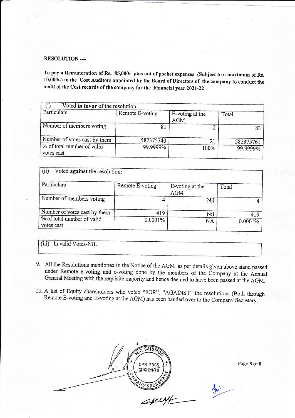#### RESOLUTION --4

To pay a Remuneration of Rs. 85,000/- plus out of pocket expenses (Subject to a maximum of Rs. 10,000/-) to the Cost Auditors appointed by the Board of Directors of the company to conduct the audit of the Cost records of the company for the Financial year 2021-22

| Voted in favor of the resolution:        |                 |                               |           |
|------------------------------------------|-----------------|-------------------------------|-----------|
| Particulars                              | Remote E-voting | E-voting at the<br><b>AGM</b> | Total     |
| Number of members voting                 |                 |                               | 83        |
| Number of votes cast by them             | 582375740       | 21                            | 582375761 |
| % of total number of valid<br>votes cast | 99.9999%        | 100%                          | 99.9999%  |

| (ii)<br>Voted against the resolution:    |                 |                               |         |
|------------------------------------------|-----------------|-------------------------------|---------|
| Particulars                              | Remote E-voting | E-voting at the<br><b>AGM</b> | Total   |
| Number of members voting                 |                 | Nil                           |         |
| Number of votes cast by them             | 419             | Nil                           | 419     |
| % of total number of valid<br>votes cast | 0.0001%         | NA                            | 0.0001% |

(iii) In valid Votes-NIL

- 9. All the Resolutions mentioned in the Notice of the AGM as per details given above stand passed under Remote e-voting and e-voting done by the members of the Company at the Annual General Meeting with the requisite majority and hence deemed to have been passed at the AGM.
- 10. A list of Equity shareholders who voted "FOR", "AGAINST" the resolutions (Both through Remote E-voting and E-voting at the AGM) has been handed over to the Company Secretary.



Page 5 of 6

D--